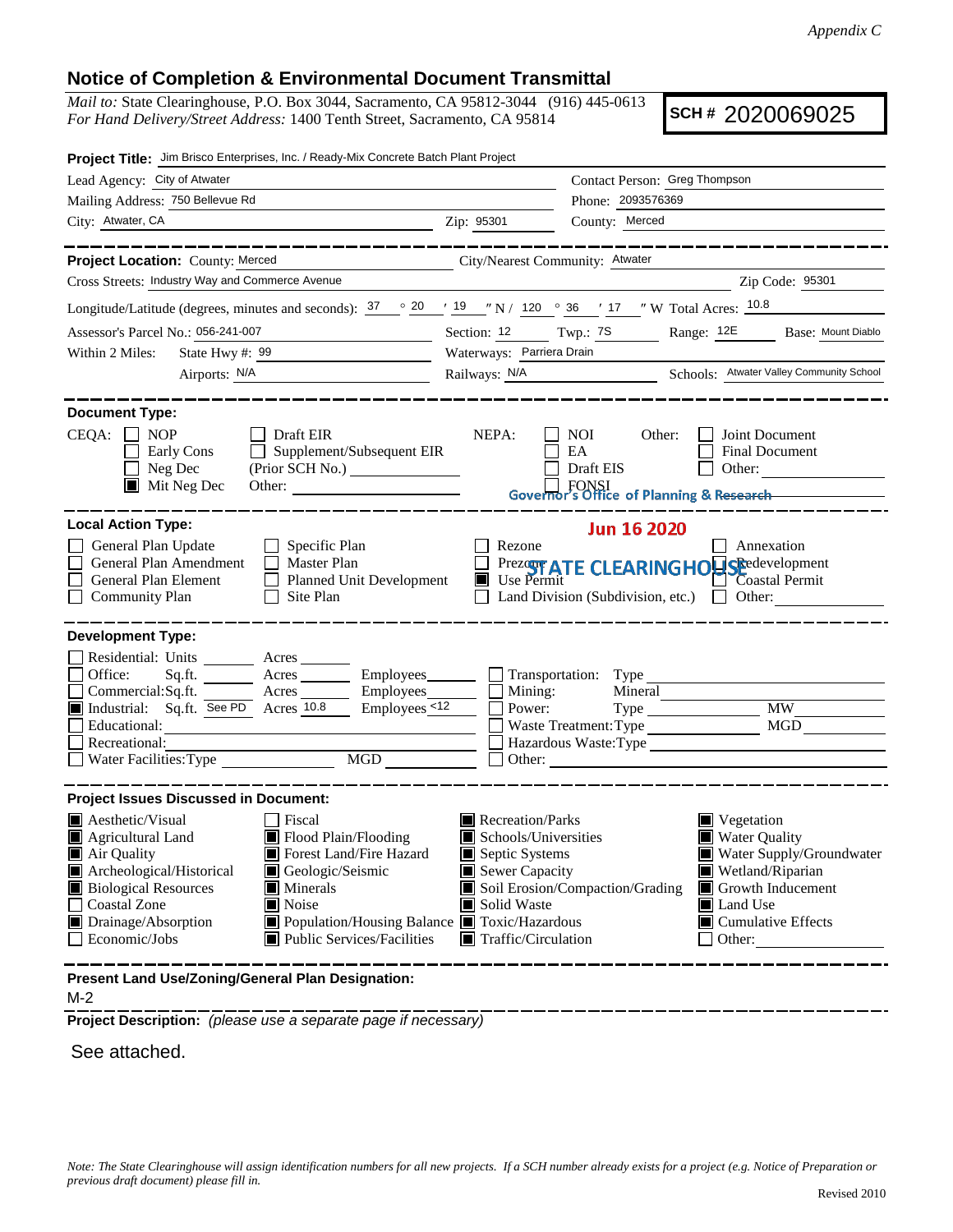## **Notice of Completion & Environmental Document Transmittal**

*Mail to:* State Clearinghouse, P.O. Box 3044, Sacramento, CA 95812-3044 (916) 445-0613 *For Hand Delivery/Street Address:* 1400 Tenth Street, Sacramento, CA 95814

**SCH #** 2020069025

| Project Title: Jim Brisco Enterprises, Inc. / Ready-Mix Concrete Batch Plant Project                                                                                                                                                                                                                                                                                                                              |                                 |                                                                                                                                                                                                                                                                                                                                            |  |  |  |
|-------------------------------------------------------------------------------------------------------------------------------------------------------------------------------------------------------------------------------------------------------------------------------------------------------------------------------------------------------------------------------------------------------------------|---------------------------------|--------------------------------------------------------------------------------------------------------------------------------------------------------------------------------------------------------------------------------------------------------------------------------------------------------------------------------------------|--|--|--|
| Lead Agency: City of Atwater                                                                                                                                                                                                                                                                                                                                                                                      | Contact Person: Greg Thompson   |                                                                                                                                                                                                                                                                                                                                            |  |  |  |
| Mailing Address: 750 Bellevue Rd                                                                                                                                                                                                                                                                                                                                                                                  |                                 | Phone: 2093576369                                                                                                                                                                                                                                                                                                                          |  |  |  |
| City: Atwater, CA<br><u> 1989 - Johann Stein, fransk politik (d. 1989)</u>                                                                                                                                                                                                                                                                                                                                        | Zip: 95301                      | County: Merced                                                                                                                                                                                                                                                                                                                             |  |  |  |
| . __ __ __ __ __ __ __ __                                                                                                                                                                                                                                                                                                                                                                                         |                                 | ________________                                                                                                                                                                                                                                                                                                                           |  |  |  |
| Project Location: County: Merced                                                                                                                                                                                                                                                                                                                                                                                  | City/Nearest Community: Atwater |                                                                                                                                                                                                                                                                                                                                            |  |  |  |
| Cross Streets: Industry Way and Commerce Avenue<br>Zip Code: 95301                                                                                                                                                                                                                                                                                                                                                |                                 |                                                                                                                                                                                                                                                                                                                                            |  |  |  |
| Longitude/Latitude (degrees, minutes and seconds): $\frac{37}{20}$ $\frac{20}{19}$ $\frac{19}{19}$ $\frac{19}{1}\frac{120}{190}$ $\frac{36}{17}$ $\frac{17}{17}$ $\frac{17}{17}$ W Total Acres: $\frac{10.8}{10.8}$                                                                                                                                                                                               |                                 |                                                                                                                                                                                                                                                                                                                                            |  |  |  |
| Assessor's Parcel No.: 056-241-007<br><u> 1990 - Johann Barnett, fransk politik (</u>                                                                                                                                                                                                                                                                                                                             |                                 | Section: 12 Twp.: 7S Range: 12E Base: Mount Diablo                                                                                                                                                                                                                                                                                         |  |  |  |
| Within 2 Miles:<br>State Hwy #: $99$                                                                                                                                                                                                                                                                                                                                                                              | Waterways: Parriera Drain       |                                                                                                                                                                                                                                                                                                                                            |  |  |  |
| Airports: N/A                                                                                                                                                                                                                                                                                                                                                                                                     |                                 | Railways: N/A Schools: Atwater Valley Community School                                                                                                                                                                                                                                                                                     |  |  |  |
| <b>Document Type:</b><br>$CEQA: \Box$<br><b>NOP</b><br>$\Box$ Draft EIR<br>$\Box$ Supplement/Subsequent EIR<br>Early Cons<br>Neg Dec<br>$\blacksquare$<br>$\blacksquare$ Mit Neg Dec<br>Other:                                                                                                                                                                                                                    | NEPA:                           | Joint Document<br>NOI<br>Other:<br><b>Final Document</b><br>EA<br>Draft EIS<br>Other:<br>Governor's Office of Planning & Research                                                                                                                                                                                                          |  |  |  |
| <b>Local Action Type:</b><br><b>Jun 16 2020</b><br>General Plan Update<br>$\Box$ Specific Plan<br>Rezone<br>Annexation<br>General Plan Amendment<br>$\Box$ Master Plan<br>Prezent ATE CLEARINGHOUSE development<br>Use Permit<br>General Plan Element<br>Coastal Permit<br>□ Planned Unit Development<br><b>Community Plan</b><br>Site Plan<br>Land Division (Subdivision, etc.) $\Box$ Other:<br>$\perp$         |                                 |                                                                                                                                                                                                                                                                                                                                            |  |  |  |
| <b>Development Type:</b><br>Residential: Units ________ Acres _______<br>Office:<br>Sq.fit.<br>Commercial:Sq.ft.<br>$\frac{1}{\sqrt{1-\frac{1}{2}}}\$ Employees $\frac{1}{\sqrt{1-\frac{1}{2}}}\sqrt{1-\frac{1}{2}}$<br>$Employes_{12}$<br>Industrial: Sq.ft. See PD Acres 10.8<br>Educational:<br>Recreational:<br>Water Facilities: Type MGD                                                                    | Mining:<br>Power:               | Acres Employees Transportation: Type<br>Mineral<br><b>MW</b><br><b>MGD</b><br>Waste Treatment: Type<br>Hazardous Waste: Type                                                                                                                                                                                                               |  |  |  |
| <b>Project Issues Discussed in Document:</b><br><b>A</b> esthetic/Visual<br>Fiscal<br>Flood Plain/Flooding<br>Agricultural Land<br>Forest Land/Fire Hazard<br>Air Quality<br>Archeological/Historical<br>Geologic/Seismic<br><b>Biological Resources</b><br>Minerals<br>Noise<br>Coastal Zone<br>Population/Housing Balance Toxic/Hazardous<br>Drainage/Absorption<br>Public Services/Facilities<br>Economic/Jobs | Solid Waste                     | Recreation/Parks<br>Vegetation<br>$\blacksquare$ Schools/Universities<br><b>Water Quality</b><br>Septic Systems<br>Water Supply/Groundwater<br>Sewer Capacity<br>Wetland/Riparian<br>Soil Erosion/Compaction/Grading<br>Growth Inducement<br>Land Use<br>$\blacksquare$ Cumulative Effects<br>$\blacksquare$ Traffic/Circulation<br>Other: |  |  |  |
| Present Land Use/Zoning/General Plan Designation:                                                                                                                                                                                                                                                                                                                                                                 |                                 |                                                                                                                                                                                                                                                                                                                                            |  |  |  |

M-2

**Project Description:** *(please use a separate page if necessary)*

See attached.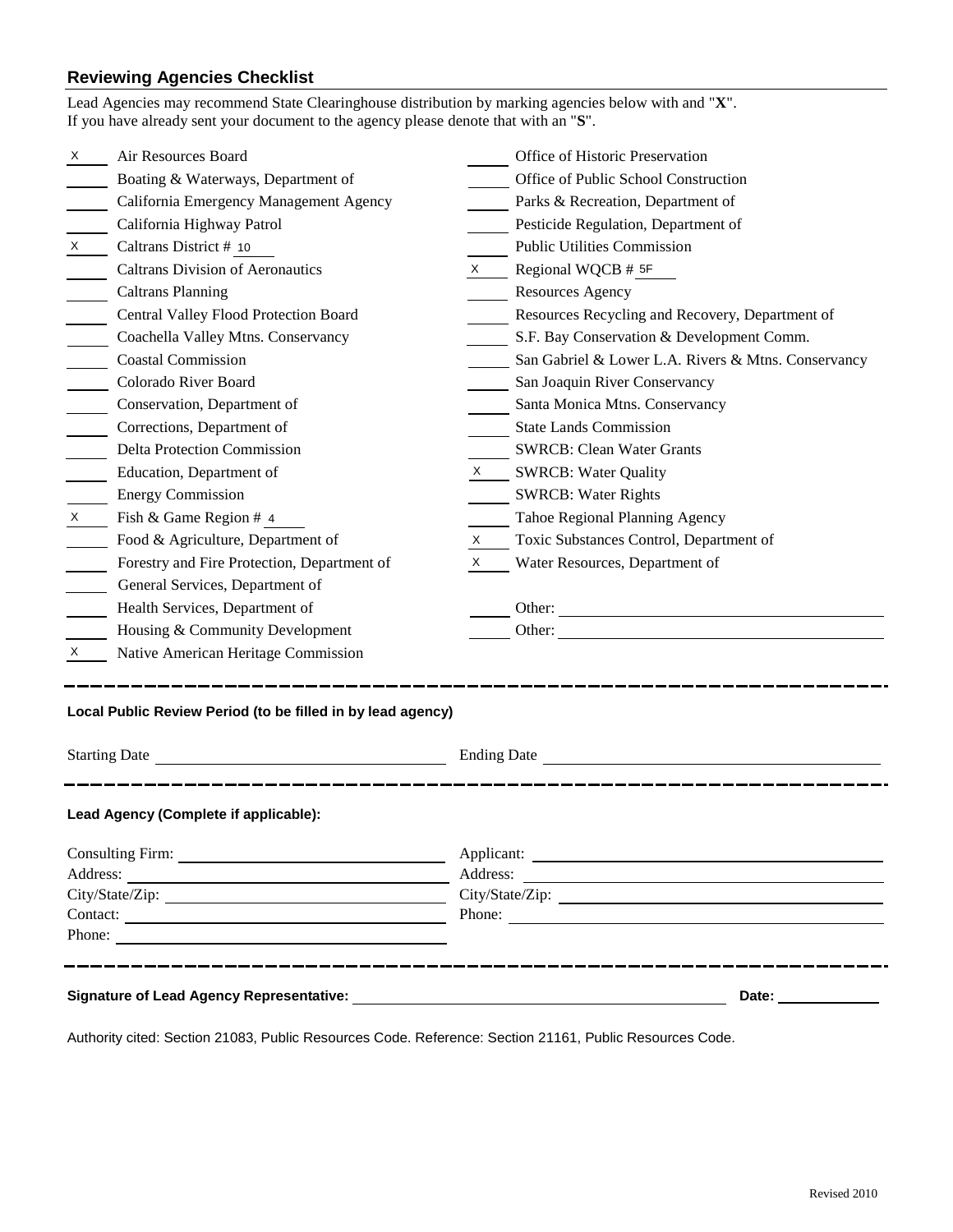## **Reviewing Agencies Checklist**

|                                                                                       | Lead Agencies may recommend State Clearinghouse distribution by marking agencies below with and "X".<br>If you have already sent your document to the agency please denote that with an "S". |                    |                                                     |  |  |
|---------------------------------------------------------------------------------------|----------------------------------------------------------------------------------------------------------------------------------------------------------------------------------------------|--------------------|-----------------------------------------------------|--|--|
| X                                                                                     | Air Resources Board                                                                                                                                                                          |                    | Office of Historic Preservation                     |  |  |
|                                                                                       | Boating & Waterways, Department of                                                                                                                                                           |                    | Office of Public School Construction                |  |  |
|                                                                                       | California Emergency Management Agency                                                                                                                                                       |                    | Parks & Recreation, Department of                   |  |  |
|                                                                                       | California Highway Patrol                                                                                                                                                                    |                    | Pesticide Regulation, Department of                 |  |  |
| X                                                                                     | Caltrans District # 10                                                                                                                                                                       |                    | Public Utilities Commission                         |  |  |
|                                                                                       | <b>Caltrans Division of Aeronautics</b>                                                                                                                                                      |                    | $X \qquad$ Regional WQCB # 5F                       |  |  |
|                                                                                       | <b>Caltrans Planning</b>                                                                                                                                                                     |                    | <b>Resources Agency</b>                             |  |  |
|                                                                                       | Central Valley Flood Protection Board                                                                                                                                                        |                    | Resources Recycling and Recovery, Department of     |  |  |
|                                                                                       | Coachella Valley Mtns. Conservancy                                                                                                                                                           |                    | S.F. Bay Conservation & Development Comm.           |  |  |
|                                                                                       | <b>Coastal Commission</b>                                                                                                                                                                    |                    | San Gabriel & Lower L.A. Rivers & Mtns. Conservancy |  |  |
| $\mathcal{L}^{\text{max}}$                                                            | Colorado River Board                                                                                                                                                                         |                    | San Joaquin River Conservancy                       |  |  |
|                                                                                       | Conservation, Department of                                                                                                                                                                  |                    | Santa Monica Mtns. Conservancy                      |  |  |
|                                                                                       | Corrections, Department of                                                                                                                                                                   |                    | <b>State Lands Commission</b>                       |  |  |
|                                                                                       | <b>Delta Protection Commission</b>                                                                                                                                                           |                    | <b>SWRCB: Clean Water Grants</b>                    |  |  |
|                                                                                       | Education, Department of                                                                                                                                                                     |                    | X SWRCB: Water Quality                              |  |  |
|                                                                                       | <b>Energy Commission</b>                                                                                                                                                                     |                    | <b>SWRCB: Water Rights</b>                          |  |  |
| $\mathsf{X}$                                                                          | Fish & Game Region # 4                                                                                                                                                                       |                    | Tahoe Regional Planning Agency                      |  |  |
|                                                                                       | Food & Agriculture, Department of                                                                                                                                                            | X —                | Toxic Substances Control, Department of             |  |  |
|                                                                                       | Forestry and Fire Protection, Department of                                                                                                                                                  | $X \sim$           | Water Resources, Department of                      |  |  |
|                                                                                       | General Services, Department of                                                                                                                                                              |                    |                                                     |  |  |
|                                                                                       | Health Services, Department of                                                                                                                                                               |                    | Other:                                              |  |  |
|                                                                                       | Housing & Community Development                                                                                                                                                              |                    |                                                     |  |  |
| X                                                                                     | Native American Heritage Commission                                                                                                                                                          |                    |                                                     |  |  |
| Local Public Review Period (to be filled in by lead agency)                           |                                                                                                                                                                                              |                    |                                                     |  |  |
| <b>Starting Date</b><br><u> 1980 - Johann Barn, mars an t-Amerikaansk politiker (</u> |                                                                                                                                                                                              | <b>Ending Date</b> |                                                     |  |  |
| Lead Agency (Complete if applicable):                                                 |                                                                                                                                                                                              |                    |                                                     |  |  |
|                                                                                       |                                                                                                                                                                                              |                    |                                                     |  |  |
|                                                                                       |                                                                                                                                                                                              |                    |                                                     |  |  |
|                                                                                       |                                                                                                                                                                                              |                    |                                                     |  |  |
|                                                                                       |                                                                                                                                                                                              |                    | Phone:                                              |  |  |
| Phone:                                                                                |                                                                                                                                                                                              |                    |                                                     |  |  |
| Date: ______________                                                                  |                                                                                                                                                                                              |                    |                                                     |  |  |

Authority cited: Section 21083, Public Resources Code. Reference: Section 21161, Public Resources Code.